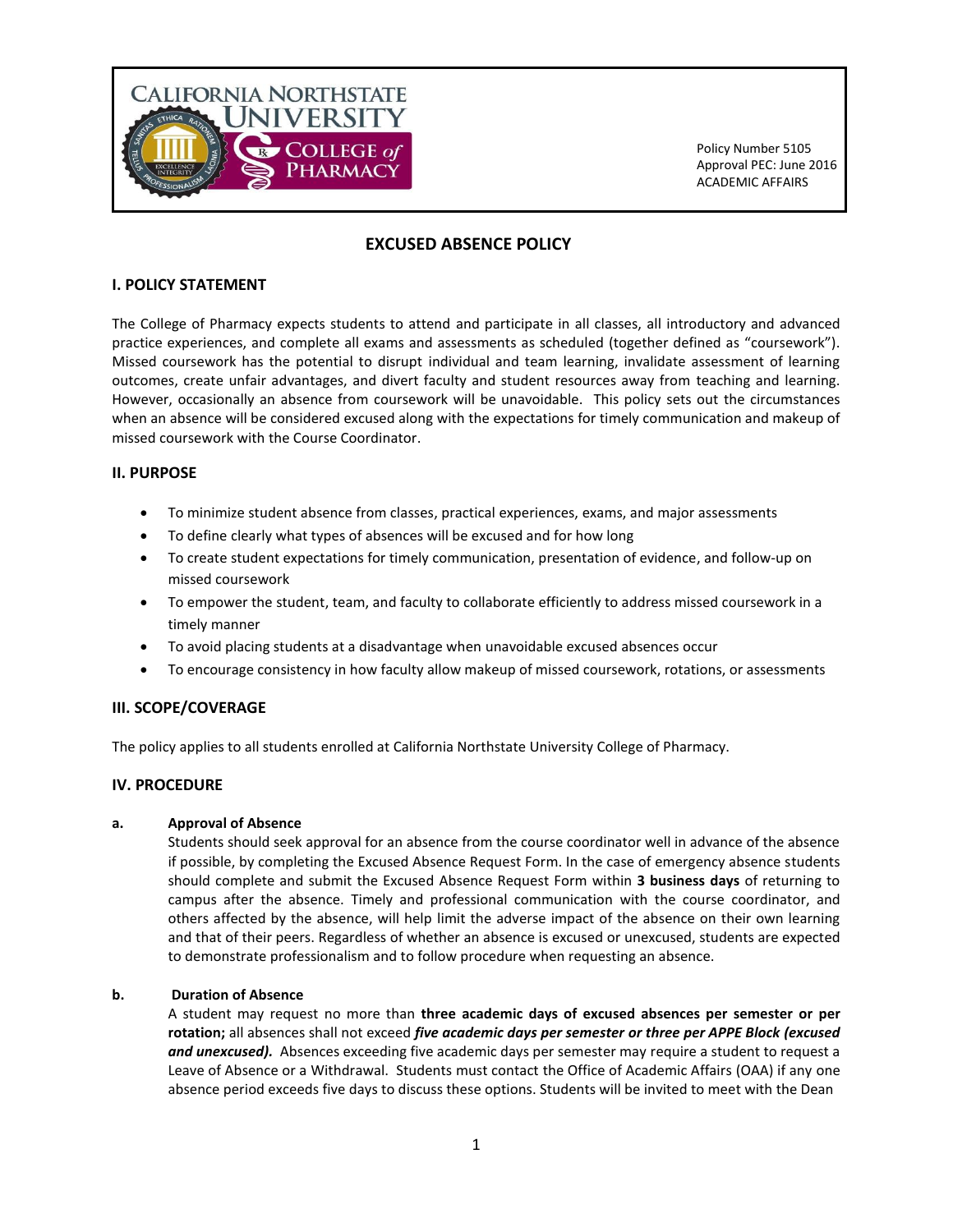

# **EXCUSED ABSENCE POLICY**

### **I. POLICY STATEMENT**

The College of Pharmacy expects students to attend and participate in all classes, all introductory and advanced practice experiences, and complete all exams and assessments as scheduled (together defined as "coursework"). Missed coursework has the potential to disrupt individual and team learning, invalidate assessment of learning outcomes, create unfair advantages, and divert faculty and student resources away from teaching and learning. However, occasionally an absence from coursework will be unavoidable. This policy sets out the circumstances when an absence will be considered excused along with the expectations for timely communication and makeup of missed coursework with the Course Coordinator.

# **II. PURPOSE**

- To minimize student absence from classes, practical experiences, exams, and major assessments
- To define clearly what types of absences will be excused and for how long
- To create student expectations for timely communication, presentation of evidence, and follow-up on missed coursework
- To empower the student, team, and faculty to collaborate efficiently to address missed coursework in a timely manner
- To avoid placing students at a disadvantage when unavoidable excused absences occur
- To encourage consistency in how faculty allow makeup of missed coursework, rotations, or assessments

# **III. SCOPE/COVERAGE**

The policy applies to all students enrolled at California Northstate University College of Pharmacy.

#### **IV. PROCEDURE**

#### **a. Approval of Absence**

Students should seek approval for an absence from the course coordinator well in advance of the absence if possible, by completing the Excused Absence Request Form. In the case of emergency absence students should complete and submit the Excused Absence Request Form within **3 business days** of returning to campus after the absence. Timely and professional communication with the course coordinator, and others affected by the absence, will help limit the adverse impact of the absence on their own learning and that of their peers. Regardless of whether an absence is excused or unexcused, students are expected to demonstrate professionalism and to follow procedure when requesting an absence.

#### **b. Duration of Absence**

A student may request no more than **three academic days of excused absences per semester or per rotation;** all absences shall not exceed *five academic days per semester or three per APPE Block (excused and unexcused).*Absences exceeding five academic days per semester may require a student to request a Leave of Absence or a Withdrawal. Students must contact the Office of Academic Affairs (OAA) if any one absence period exceeds five days to discuss these options. Students will be invited to meet with the Dean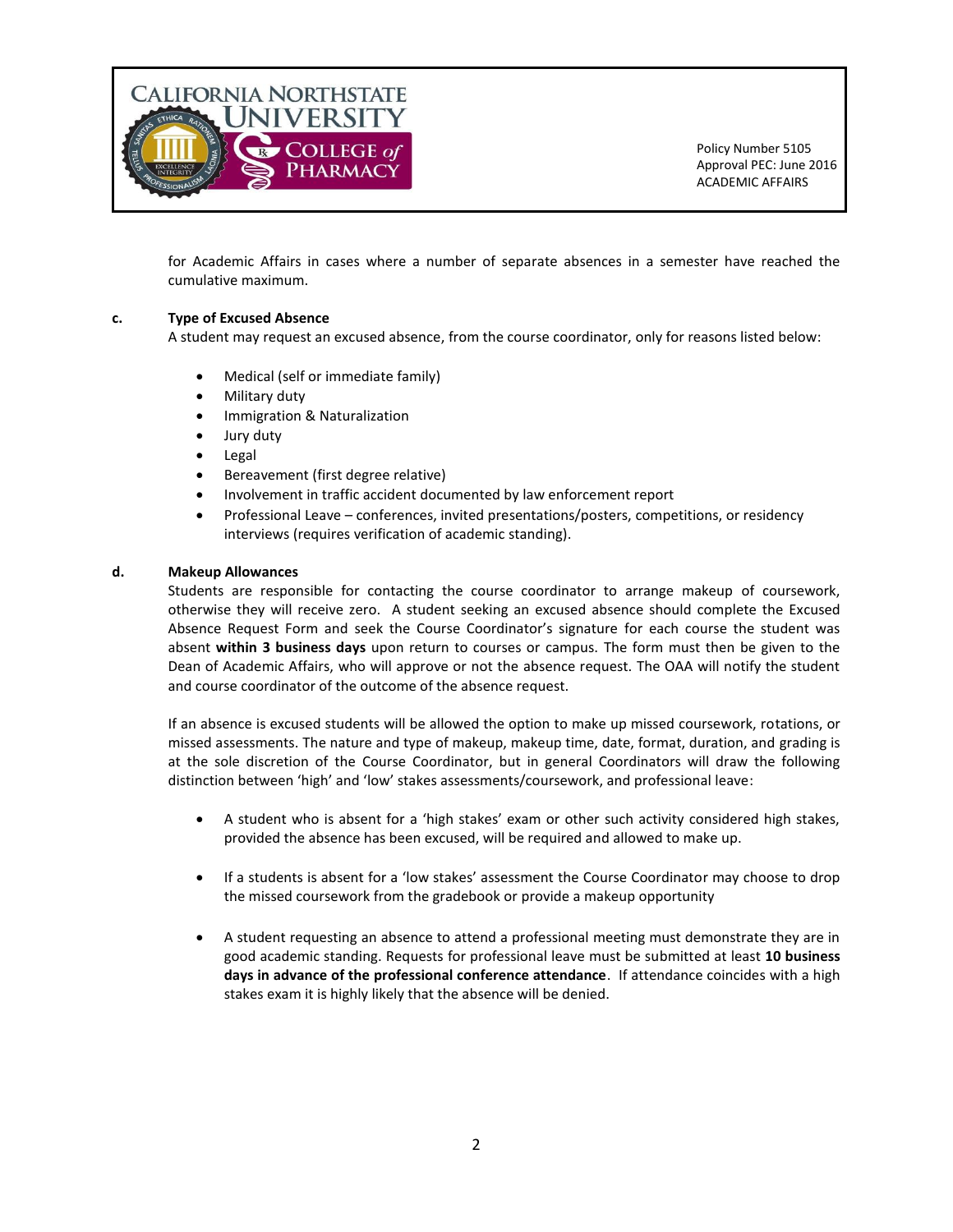

for Academic Affairs in cases where a number of separate absences in a semester have reached the cumulative maximum.

# **c. Type of Excused Absence**

A student may request an excused absence, from the course coordinator, only for reasons listed below:

- Medical (self or immediate family)
- Military duty
- **•** Immigration & Naturalization
- Jury duty
- Legal
- Bereavement (first degree relative)
- Involvement in traffic accident documented by law enforcement report
- Professional Leave conferences, invited presentations/posters, competitions, or residency interviews (requires verification of academic standing).

#### **d. Makeup Allowances**

Students are responsible for contacting the course coordinator to arrange makeup of coursework, otherwise they will receive zero. A student seeking an excused absence should complete the Excused Absence Request Form and seek the Course Coordinator's signature for each course the student was absent **within 3 business days** upon return to courses or campus. The form must then be given to the Dean of Academic Affairs, who will approve or not the absence request. The OAA will notify the student and course coordinator of the outcome of the absence request.

If an absence is excused students will be allowed the option to make up missed coursework, rotations, or missed assessments. The nature and type of makeup, makeup time, date, format, duration, and grading is at the sole discretion of the Course Coordinator, but in general Coordinators will draw the following distinction between 'high' and 'low' stakes assessments/coursework, and professional leave:

- A student who is absent for a 'high stakes' exam or other such activity considered high stakes, provided the absence has been excused, will be required and allowed to make up.
- If a students is absent for a 'low stakes' assessment the Course Coordinator may choose to drop the missed coursework from the gradebook or provide a makeup opportunity
- A student requesting an absence to attend a professional meeting must demonstrate they are in good academic standing. Requests for professional leave must be submitted at least **10 business days in advance of the professional conference attendance**. If attendance coincides with a high stakes exam it is highly likely that the absence will be denied.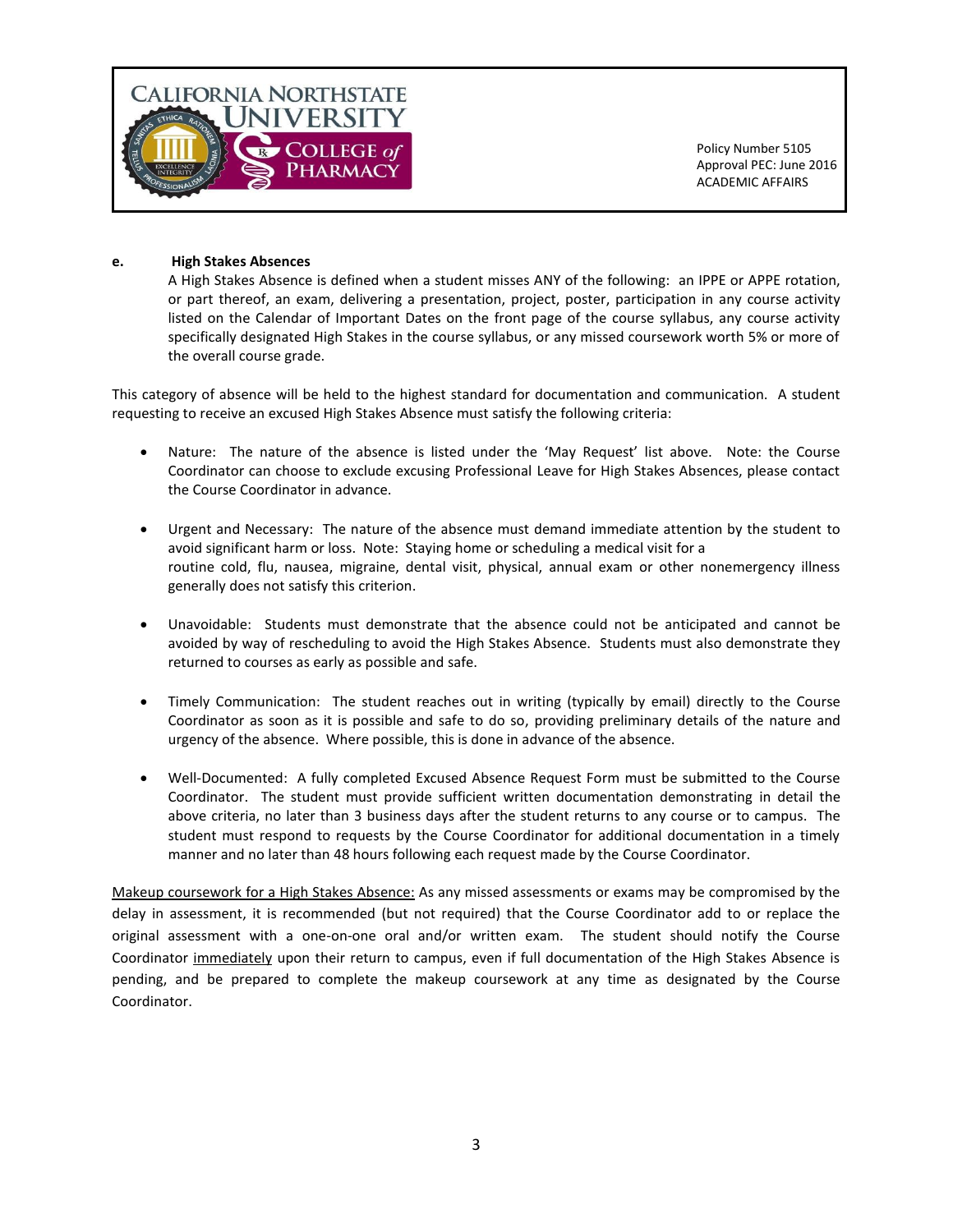

### **e. High Stakes Absences**

A High Stakes Absence is defined when a student misses ANY of the following: an IPPE or APPE rotation, or part thereof, an exam, delivering a presentation, project, poster, participation in any course activity listed on the Calendar of Important Dates on the front page of the course syllabus, any course activity specifically designated High Stakes in the course syllabus, or any missed coursework worth 5% or more of the overall course grade.

This category of absence will be held to the highest standard for documentation and communication. A student requesting to receive an excused High Stakes Absence must satisfy the following criteria:

- Nature: The nature of the absence is listed under the 'May Request' list above. Note: the Course Coordinator can choose to exclude excusing Professional Leave for High Stakes Absences, please contact the Course Coordinator in advance.
- Urgent and Necessary: The nature of the absence must demand immediate attention by the student to avoid significant harm or loss. Note: Staying home or scheduling a medical visit for a routine cold, flu, nausea, migraine, dental visit, physical, annual exam or other nonemergency illness generally does not satisfy this criterion.
- Unavoidable: Students must demonstrate that the absence could not be anticipated and cannot be avoided by way of rescheduling to avoid the High Stakes Absence. Students must also demonstrate they returned to courses as early as possible and safe.
- Timely Communication: The student reaches out in writing (typically by email) directly to the Course Coordinator as soon as it is possible and safe to do so, providing preliminary details of the nature and urgency of the absence. Where possible, this is done in advance of the absence.
- Well-Documented: A fully completed Excused Absence Request Form must be submitted to the Course Coordinator. The student must provide sufficient written documentation demonstrating in detail the above criteria, no later than 3 business days after the student returns to any course or to campus. The student must respond to requests by the Course Coordinator for additional documentation in a timely manner and no later than 48 hours following each request made by the Course Coordinator.

Makeup coursework for a High Stakes Absence: As any missed assessments or exams may be compromised by the delay in assessment, it is recommended (but not required) that the Course Coordinator add to or replace the original assessment with a one-on-one oral and/or written exam. The student should notify the Course Coordinator immediately upon their return to campus, even if full documentation of the High Stakes Absence is pending, and be prepared to complete the makeup coursework at any time as designated by the Course Coordinator.